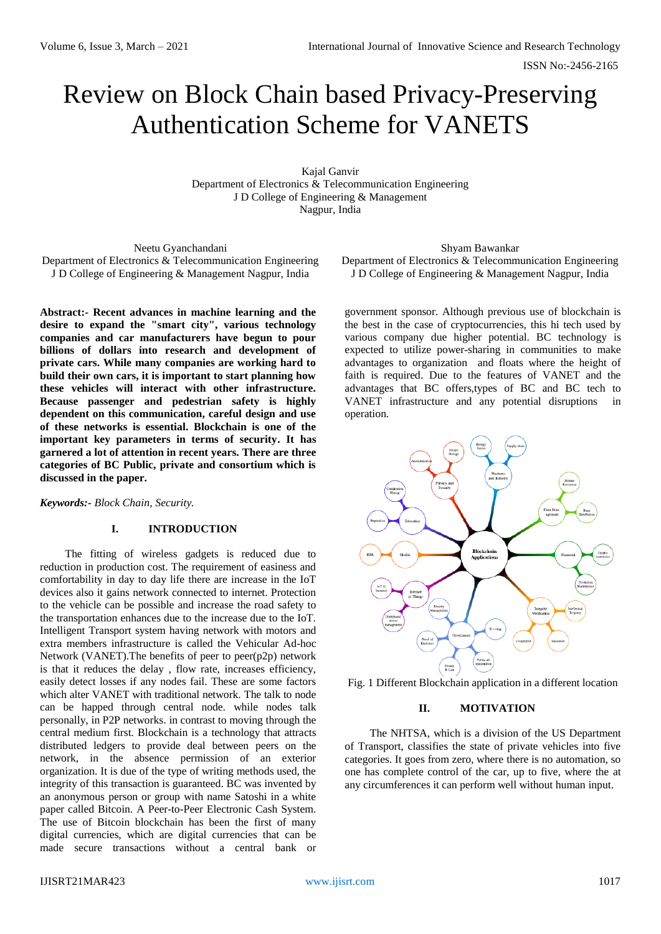ISSN No:-2456-2165

# Review on Block Chain based Privacy-Preserving Authentication Scheme for VANETS

Kajal Ganvir Department of Electronics & Telecommunication Engineering J D College of Engineering & Management Nagpur, India

Neetu Gyanchandani Department of Electronics & Telecommunication Engineering J D College of Engineering & Management Nagpur, India

**Abstract:- Recent advances in machine learning and the desire to expand the "smart city", various technology companies and car manufacturers have begun to pour billions of dollars into research and development of private cars. While many companies are working hard to build their own cars, it is important to start planning how these vehicles will interact with other infrastructure. Because passenger and pedestrian safety is highly dependent on this communication, careful design and use of these networks is essential. Blockchain is one of the important key parameters in terms of security. It has garnered a lot of attention in recent years. There are three categories of BC Public, private and consortium which is discussed in the paper.**

*Keywords:- Block Chain, Security.*

## **I. INTRODUCTION**

The fitting of wireless gadgets is reduced due to reduction in production cost. The requirement of easiness and comfortability in day to day life there are increase in the IoT devices also it gains network connected to internet. Protection to the vehicle can be possible and increase the road safety to the transportation enhances due to the increase due to the IoT. Intelligent Transport system having network with motors and extra members infrastructure is called the Vehicular Ad-hoc Network (VANET).The benefits of peer to peer(p2p) network is that it reduces the delay , flow rate, increases efficiency, easily detect losses if any nodes fail. These are some factors which alter VANET with traditional network. The talk to node can be happed through central node. while nodes talk personally, in P2P networks. in contrast to moving through the central medium first. Blockchain is a technology that attracts distributed ledgers to provide deal between peers on the network, in the absence permission of an exterior organization. It is due of the type of writing methods used, the integrity of this transaction is guaranteed. BC was invented by an anonymous person or group with name Satoshi in a white paper called Bitcoin. A Peer-to-Peer Electronic Cash System. The use of Bitcoin blockchain has been the first of many digital currencies, which are digital currencies that can be made secure transactions without a central bank or

#### Shyam Bawankar

Department of Electronics & Telecommunication Engineering J D College of Engineering & Management Nagpur, India

government sponsor. Although previous use of blockchain is the best in the case of cryptocurrencies, this hi tech used by various company due higher potential. BC technology is expected to utilize power-sharing in communities to make advantages to organization and floats where the height of faith is required. Due to the features of VANET and the advantages that BC offers,types of BC and BC tech to VANET infrastructure and any potential disruptions in operation.



Fig. 1 Different Blockchain application in a different location

## **II. MOTIVATION**

The NHTSA, which is a division of the US Department of Transport, classifies the state of private vehicles into five categories. It goes from zero, where there is no automation, so one has complete control of the car, up to five, where the at any circumferences it can perform well without human input.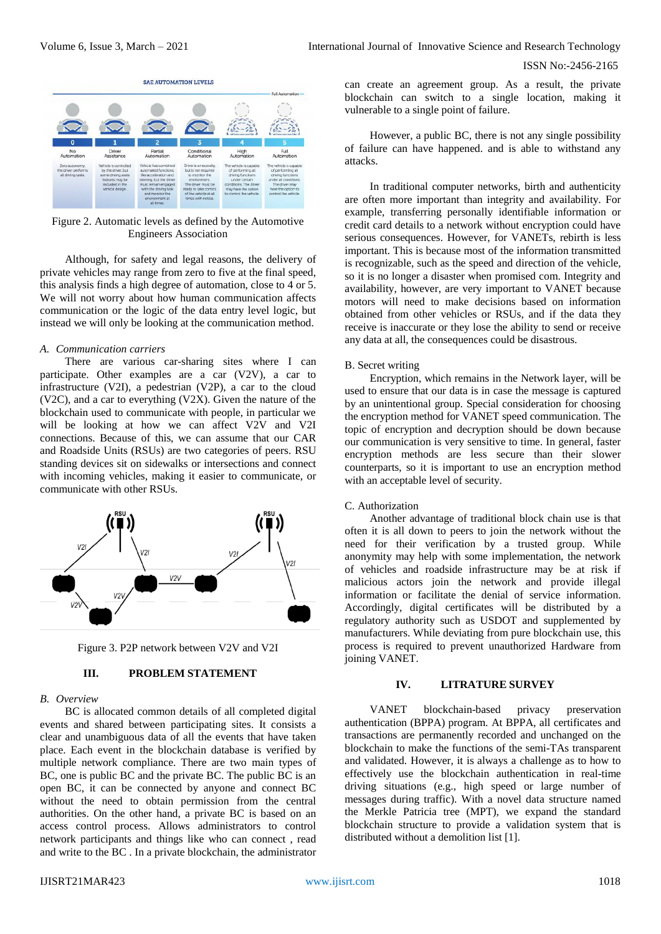

Figure 2. Automatic levels as defined by the Automotive Engineers Association

Although, for safety and legal reasons, the delivery of private vehicles may range from zero to five at the final speed, this analysis finds a high degree of automation, close to 4 or 5. We will not worry about how human communication affects communication or the logic of the data entry level logic, but instead we will only be looking at the communication method.

#### *A. Communication carriers*

There are various car-sharing sites where I can participate. Other examples are a car (V2V), a car to infrastructure (V2I), a pedestrian (V2P), a car to the cloud (V2C), and a car to everything (V2X). Given the nature of the blockchain used to communicate with people, in particular we will be looking at how we can affect V2V and V2I connections. Because of this, we can assume that our CAR and Roadside Units (RSUs) are two categories of peers. RSU standing devices sit on sidewalks or intersections and connect with incoming vehicles, making it easier to communicate, or communicate with other RSUs.



Figure 3. P2P network between V2V and V2I

### **III. PROBLEM STATEMENT**

#### *B. Overview*

BC is allocated common details of all completed digital events and shared between participating sites. It consists a clear and unambiguous data of all the events that have taken place. Each event in the blockchain database is verified by multiple network compliance. There are two main types of BC, one is public BC and the private BC. The public BC is an open BC, it can be connected by anyone and connect BC without the need to obtain permission from the central authorities. On the other hand, a private BC is based on an access control process. Allows administrators to control network participants and things like who can connect , read and write to the BC . In a private blockchain, the administrator can create an agreement group. As a result, the private blockchain can switch to a single location, making it vulnerable to a single point of failure.

However, a public BC, there is not any single possibility of failure can have happened. and is able to withstand any attacks.

In traditional computer networks, birth and authenticity are often more important than integrity and availability. For example, transferring personally identifiable information or credit card details to a network without encryption could have serious consequences. However, for VANETs, rebirth is less important. This is because most of the information transmitted is recognizable, such as the speed and direction of the vehicle, so it is no longer a disaster when promised com. Integrity and availability, however, are very important to VANET because motors will need to make decisions based on information obtained from other vehicles or RSUs, and if the data they receive is inaccurate or they lose the ability to send or receive any data at all, the consequences could be disastrous.

#### B. Secret writing

Encryption, which remains in the Network layer, will be used to ensure that our data is in case the message is captured by an unintentional group. Special consideration for choosing the encryption method for VANET speed communication. The topic of encryption and decryption should be down because our communication is very sensitive to time. In general, faster encryption methods are less secure than their slower counterparts, so it is important to use an encryption method with an acceptable level of security.

## C. Authorization

Another advantage of traditional block chain use is that often it is all down to peers to join the network without the need for their verification by a trusted group. While anonymity may help with some implementation, the network of vehicles and roadside infrastructure may be at risk if malicious actors join the network and provide illegal information or facilitate the denial of service information. Accordingly, digital certificates will be distributed by a regulatory authority such as USDOT and supplemented by manufacturers. While deviating from pure blockchain use, this process is required to prevent unauthorized Hardware from joining VANET.

## **IV. LITRATURE SURVEY**

VANET blockchain-based privacy preservation authentication (BPPA) program. At BPPA, all certificates and transactions are permanently recorded and unchanged on the blockchain to make the functions of the semi-TAs transparent and validated. However, it is always a challenge as to how to effectively use the blockchain authentication in real-time driving situations (e.g., high speed or large number of messages during traffic). With a novel data structure named the Merkle Patricia tree (MPT), we expand the standard blockchain structure to provide a validation system that is distributed without a demolition list [1].